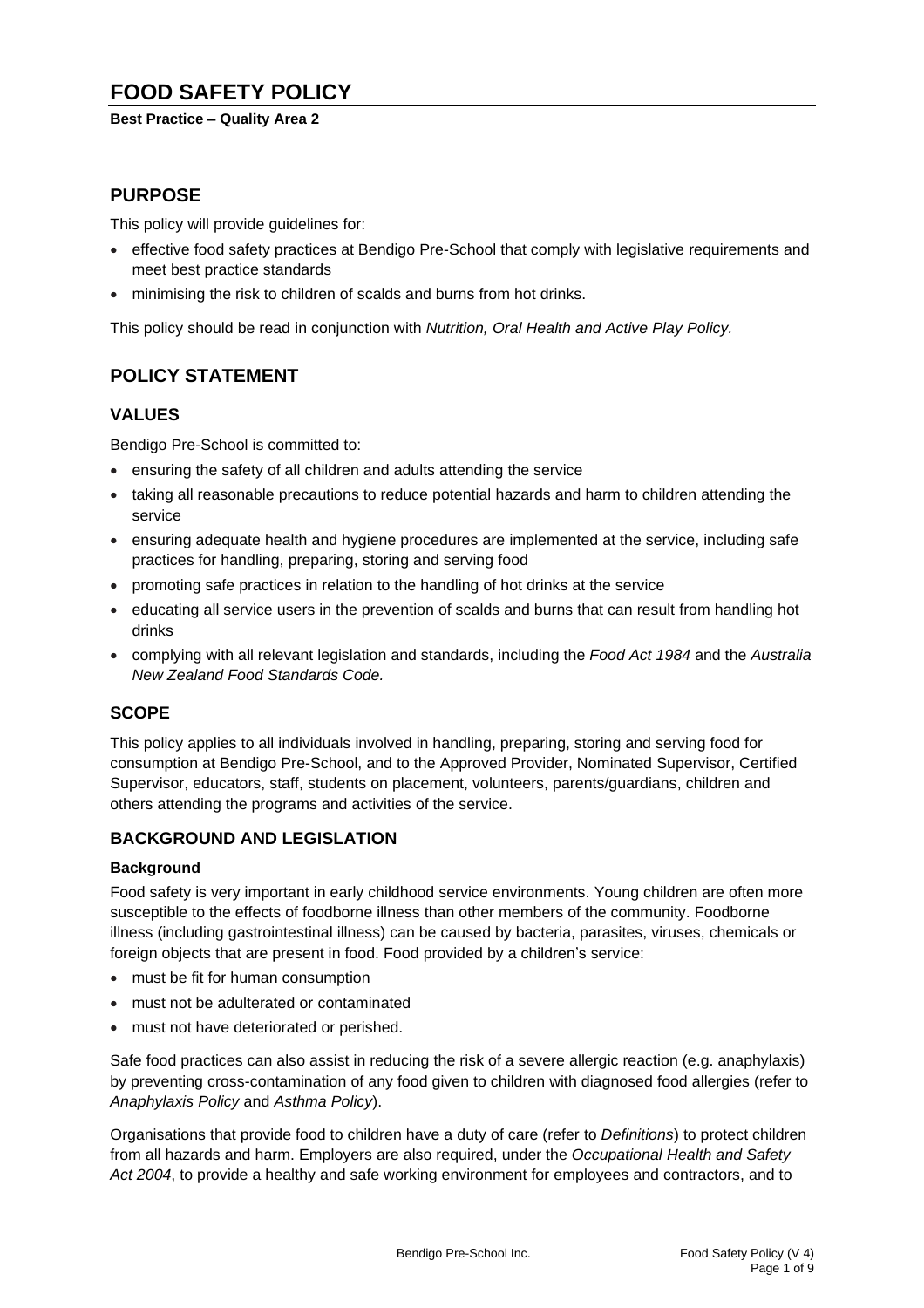# **FOOD SAFETY POLICY**

### **Best Practice – Quality Area 2**

## **PURPOSE**

This policy will provide guidelines for:

- effective food safety practices at Bendigo Pre-School that comply with legislative requirements and meet best practice standards
- minimising the risk to children of scalds and burns from hot drinks.

This policy should be read in conjunction with *Nutrition, Oral Health and Active Play Policy.*

# **POLICY STATEMENT**

## **VALUES**

Bendigo Pre-School is committed to:

- ensuring the safety of all children and adults attending the service
- taking all reasonable precautions to reduce potential hazards and harm to children attending the service
- ensuring adequate health and hygiene procedures are implemented at the service, including safe practices for handling, preparing, storing and serving food
- promoting safe practices in relation to the handling of hot drinks at the service
- educating all service users in the prevention of scalds and burns that can result from handling hot drinks
- complying with all relevant legislation and standards, including the *Food Act 1984* and the *Australia New Zealand Food Standards Code.*

## **SCOPE**

This policy applies to all individuals involved in handling, preparing, storing and serving food for consumption at Bendigo Pre-School, and to the Approved Provider, Nominated Supervisor, Certified Supervisor, educators, staff, students on placement, volunteers, parents/guardians, children and others attending the programs and activities of the service.

## **BACKGROUND AND LEGISLATION**

## **Background**

Food safety is very important in early childhood service environments. Young children are often more susceptible to the effects of foodborne illness than other members of the community. Foodborne illness (including gastrointestinal illness) can be caused by bacteria, parasites, viruses, chemicals or foreign objects that are present in food. Food provided by a children's service:

- must be fit for human consumption
- must not be adulterated or contaminated
- must not have deteriorated or perished.

Safe food practices can also assist in reducing the risk of a severe allergic reaction (e.g. anaphylaxis) by preventing cross-contamination of any food given to children with diagnosed food allergies (refer to *Anaphylaxis Policy* and *Asthma Policy*).

Organisations that provide food to children have a duty of care (refer to *Definitions*) to protect children from all hazards and harm. Employers are also required, under the *Occupational Health and Safety Act 2004*, to provide a healthy and safe working environment for employees and contractors, and to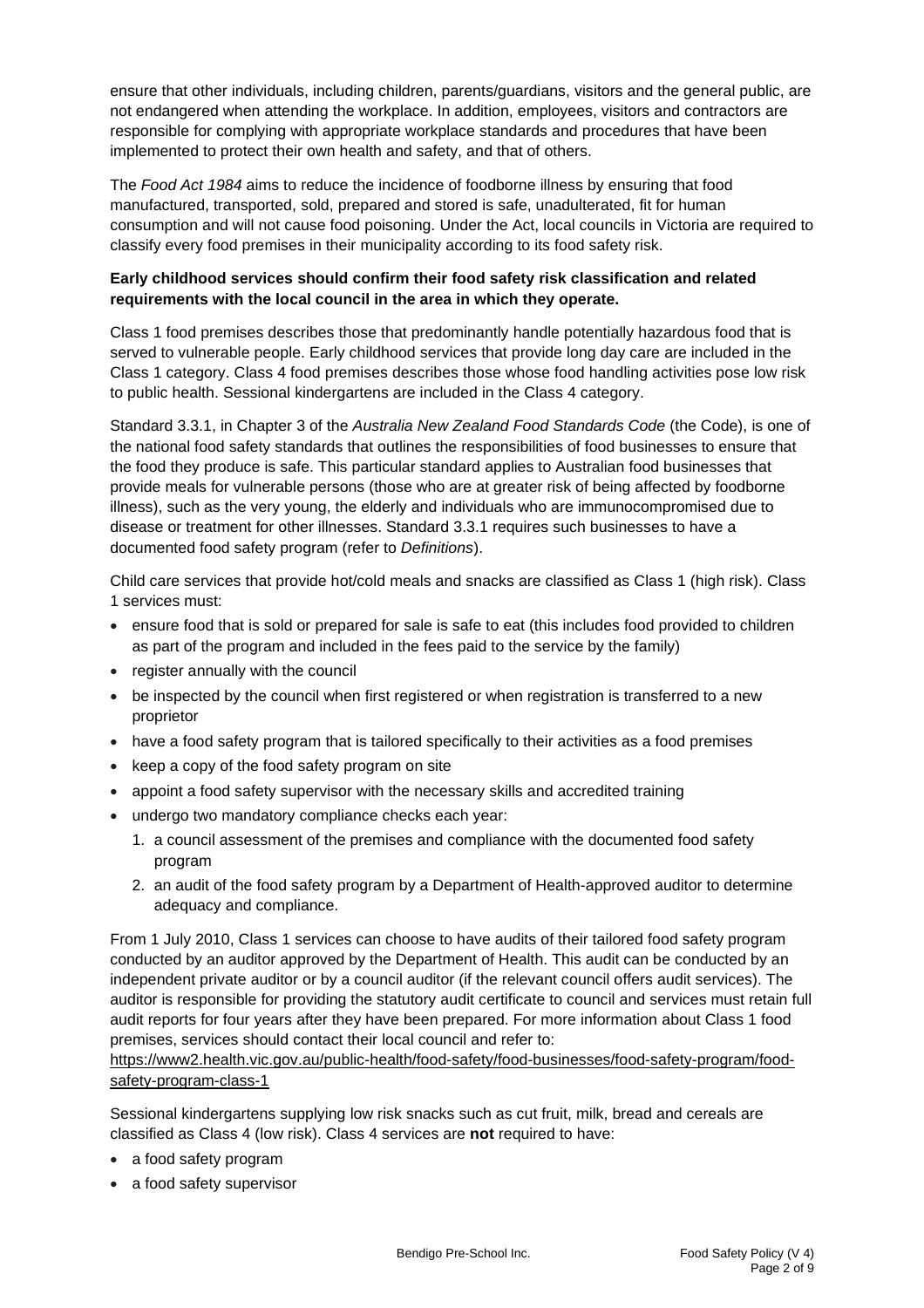ensure that other individuals, including children, parents/guardians, visitors and the general public, are not endangered when attending the workplace. In addition, employees, visitors and contractors are responsible for complying with appropriate workplace standards and procedures that have been implemented to protect their own health and safety, and that of others.

The *Food Act 1984* aims to reduce the incidence of foodborne illness by ensuring that food manufactured, transported, sold, prepared and stored is safe, unadulterated, fit for human consumption and will not cause food poisoning. Under the Act, local councils in Victoria are required to classify every food premises in their municipality according to its food safety risk.

### **Early childhood services should confirm their food safety risk classification and related requirements with the local council in the area in which they operate.**

Class 1 food premises describes those that predominantly handle potentially hazardous food that is served to vulnerable people. Early childhood services that provide long day care are included in the Class 1 category. Class 4 food premises describes those whose food handling activities pose low risk to public health. Sessional kindergartens are included in the Class 4 category.

Standard 3.3.1, in Chapter 3 of the *Australia New Zealand Food Standards Code* (the Code), is one of the national food safety standards that outlines the responsibilities of food businesses to ensure that the food they produce is safe. This particular standard applies to Australian food businesses that provide meals for vulnerable persons (those who are at greater risk of being affected by foodborne illness), such as the very young, the elderly and individuals who are immunocompromised due to disease or treatment for other illnesses. Standard 3.3.1 requires such businesses to have a documented food safety program (refer to *Definitions*).

Child care services that provide hot/cold meals and snacks are classified as Class 1 (high risk). Class 1 services must:

- ensure food that is sold or prepared for sale is safe to eat (this includes food provided to children as part of the program and included in the fees paid to the service by the family)
- register annually with the council
- be inspected by the council when first registered or when registration is transferred to a new proprietor
- have a food safety program that is tailored specifically to their activities as a food premises
- keep a copy of the food safety program on site
- appoint a food safety supervisor with the necessary skills and accredited training
- undergo two mandatory compliance checks each year:
	- 1. a council assessment of the premises and compliance with the documented food safety program
	- 2. an audit of the food safety program by a Department of Health-approved auditor to determine adequacy and compliance.

From 1 July 2010, Class 1 services can choose to have audits of their tailored food safety program conducted by an auditor approved by the Department of Health. This audit can be conducted by an independent private auditor or by a council auditor (if the relevant council offers audit services). The auditor is responsible for providing the statutory audit certificate to council and services must retain full audit reports for four years after they have been prepared. For more information about Class 1 food premises, services should contact their local council and refer to:

[https://www2.health.vic.gov.au/public-health/food-safety/food-businesses/food-safety-program/food](https://www2.health.vic.gov.au/public-health/food-safety/food-businesses/food-safety-program/food-safety-program-class-1)[safety-program-class-1](https://www2.health.vic.gov.au/public-health/food-safety/food-businesses/food-safety-program/food-safety-program-class-1)

Sessional kindergartens supplying low risk snacks such as cut fruit, milk, bread and cereals are classified as Class 4 (low risk). Class 4 services are **not** required to have:

- a food safety program
- a food safety supervisor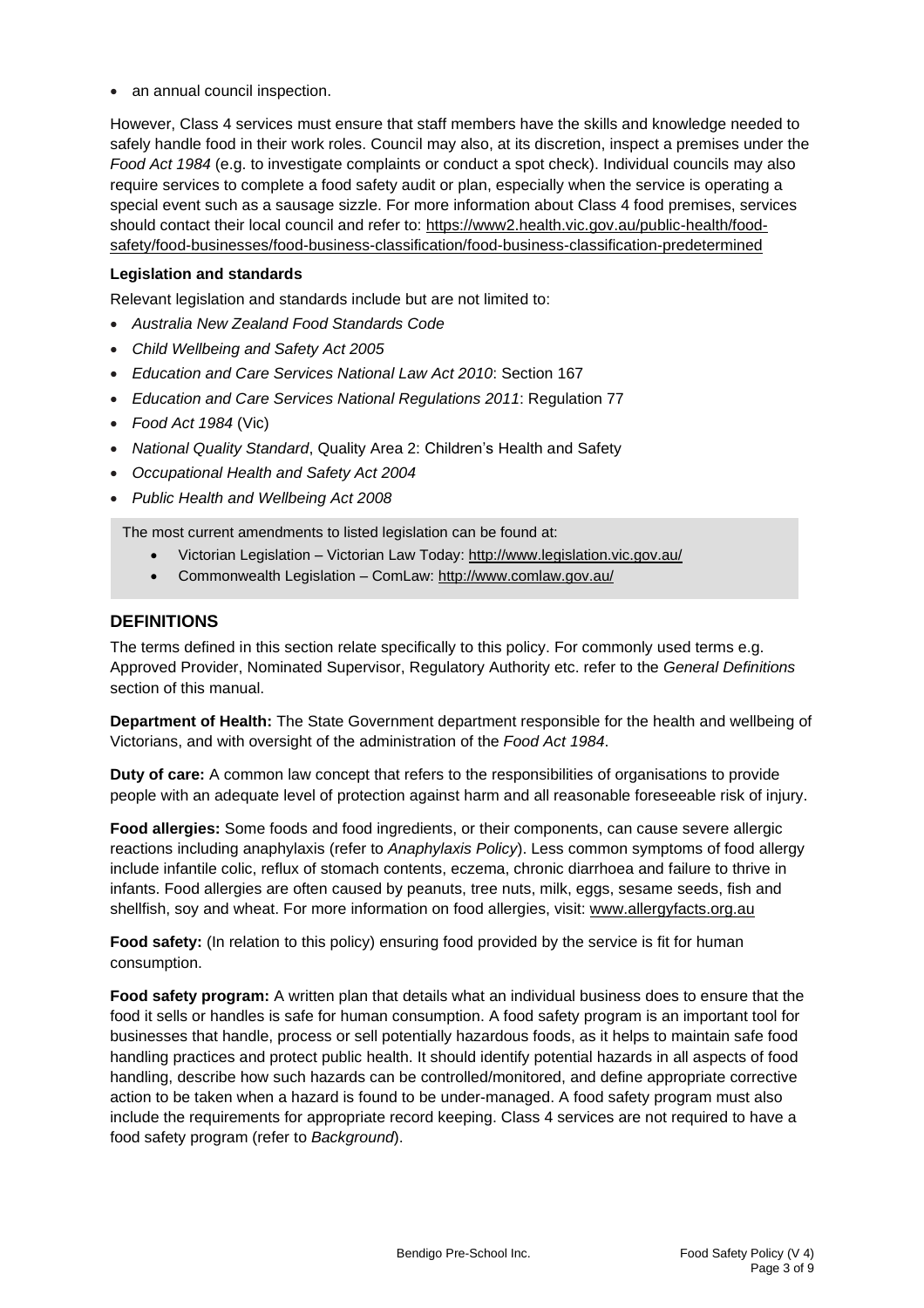• an annual council inspection.

However, Class 4 services must ensure that staff members have the skills and knowledge needed to safely handle food in their work roles. Council may also, at its discretion, inspect a premises under the *Food Act 1984* (e.g. to investigate complaints or conduct a spot check). Individual councils may also require services to complete a food safety audit or plan, especially when the service is operating a special event such as a sausage sizzle. For more information about Class 4 food premises, services should contact their local council and refer to: [https://www2.health.vic.gov.au/public-health/food](https://www2.health.vic.gov.au/public-health/food-safety/food-businesses/food-business-classification/food-business-classification-predetermined)[safety/food-businesses/food-business-classification/food-business-classification-predetermined](https://www2.health.vic.gov.au/public-health/food-safety/food-businesses/food-business-classification/food-business-classification-predetermined)

### **Legislation and standards**

Relevant legislation and standards include but are not limited to:

- *Australia New Zealand Food Standards Code*
- *Child Wellbeing and Safety Act 2005*
- *Education and Care Services National Law Act 2010*: Section 167
- *Education and Care Services National Regulations 2011*: Regulation 77
- *Food Act 1984* (Vic)
- *National Quality Standard*, Quality Area 2: Children's Health and Safety
- *Occupational Health and Safety Act 2004*
- *Public Health and Wellbeing Act 2008*

The most current amendments to listed legislation can be found at:

- Victorian Legislation Victorian Law Today: <http://www.legislation.vic.gov.au/>
- Commonwealth Legislation ComLaw: <http://www.comlaw.gov.au/>

### **DEFINITIONS**

The terms defined in this section relate specifically to this policy. For commonly used terms e.g. Approved Provider, Nominated Supervisor, Regulatory Authority etc. refer to the *General Definitions* section of this manual.

**Department of Health:** The State Government department responsible for the health and wellbeing of Victorians, and with oversight of the administration of the *Food Act 1984*.

**Duty of care:** A common law concept that refers to the responsibilities of organisations to provide people with an adequate level of protection against harm and all reasonable foreseeable risk of injury.

**Food allergies:** Some foods and food ingredients, or their components, can cause severe allergic reactions including anaphylaxis (refer to *Anaphylaxis Policy*). Less common symptoms of food allergy include infantile colic, reflux of stomach contents, eczema, chronic diarrhoea and failure to thrive in infants. Food allergies are often caused by peanuts, tree nuts, milk, eggs, sesame seeds, fish and shellfish, soy and wheat. For more information on food allergies, visit: [www.allergyfacts.org.au](http://www.allergyfacts.org.au/)

**Food safety:** (In relation to this policy) ensuring food provided by the service is fit for human consumption.

**Food safety program:** A written plan that details what an individual business does to ensure that the food it sells or handles is safe for human consumption. A food safety program is an important tool for businesses that handle, process or sell potentially hazardous foods, as it helps to maintain safe food handling practices and protect public health. It should identify potential hazards in all aspects of food handling, describe how such hazards can be controlled/monitored, and define appropriate corrective action to be taken when a hazard is found to be under-managed. A food safety program must also include the requirements for appropriate record keeping. Class 4 services are not required to have a food safety program (refer to *Background*).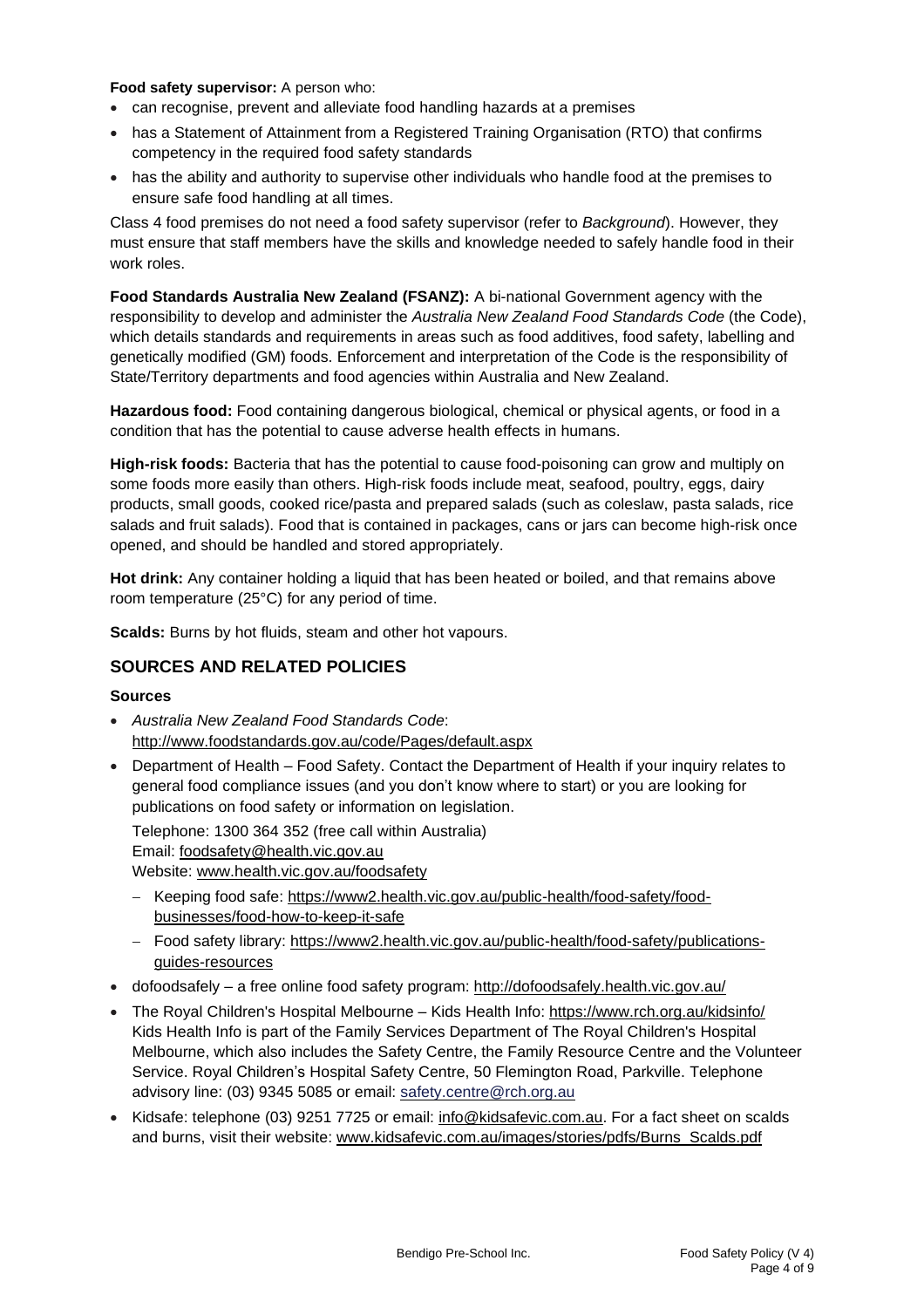#### **Food safety supervisor:** A person who:

- can recognise, prevent and alleviate food handling hazards at a premises
- has a Statement of Attainment from a Registered Training Organisation (RTO) that confirms competency in the required food safety standards
- has the ability and authority to supervise other individuals who handle food at the premises to ensure safe food handling at all times.

Class 4 food premises do not need a food safety supervisor (refer to *Background*). However, they must ensure that staff members have the skills and knowledge needed to safely handle food in their work roles.

**Food Standards Australia New Zealand (FSANZ):** A bi-national Government agency with the responsibility to develop and administer the *Australia New Zealand Food Standards Code* (the Code), which details standards and requirements in areas such as food additives, food safety, labelling and genetically modified (GM) foods. Enforcement and interpretation of the Code is the responsibility of State/Territory departments and food agencies within Australia and New Zealand.

**Hazardous food:** Food containing dangerous biological, chemical or physical agents, or food in a condition that has the potential to cause adverse health effects in humans.

**High-risk foods:** Bacteria that has the potential to cause food-poisoning can grow and multiply on some foods more easily than others. High-risk foods include meat, seafood, poultry, eggs, dairy products, small goods, cooked rice/pasta and prepared salads (such as coleslaw, pasta salads, rice salads and fruit salads). Food that is contained in packages, cans or jars can become high-risk once opened, and should be handled and stored appropriately.

**Hot drink:** Any container holding a liquid that has been heated or boiled, and that remains above room temperature (25°C) for any period of time.

**Scalds:** Burns by hot fluids, steam and other hot vapours.

## **SOURCES AND RELATED POLICIES**

#### **Sources**

- *Australia New Zealand Food Standards Code*: <http://www.foodstandards.gov.au/code/Pages/default.aspx>
- Department of Health Food Safety. Contact the Department of Health if your inquiry relates to general food compliance issues (and you don't know where to start) or you are looking for publications on food safety or information on legislation.

Telephone: 1300 364 352 (free call within Australia)

Email: [foodsafety@health.vic.gov.au](mailto:foodsafety@health.vic.gov.au)

Website: [www.health.vic.gov.au/foodsafety](http://www.health.vic.gov.au/foodsafety)

- − Keeping food safe: [https://www2.health.vic.gov.au/public-health/food-safety/food](https://www2.health.vic.gov.au/public-health/food-safety/food-businesses/food-how-to-keep-it-safe)[businesses/food-how-to-keep-it-safe](https://www2.health.vic.gov.au/public-health/food-safety/food-businesses/food-how-to-keep-it-safe)
- − Food safety library: [https://www2.health.vic.gov.au/public-health/food-safety/publications](https://www2.health.vic.gov.au/public-health/food-safety/publications-guides-resources)[guides-resources](https://www2.health.vic.gov.au/public-health/food-safety/publications-guides-resources)
- dofoodsafely a free online food safety program: <http://dofoodsafely.health.vic.gov.au/>
- The Royal Children's Hospital Melbourne Kids Health Info: <https://www.rch.org.au/kidsinfo/> Kids Health Info is part of the Family Services Department of The Royal Children's Hospital Melbourne, which also includes the Safety [Centre,](http://www.rch.org.au/safetycentre/) the Family [Resource](http://www.rch.org.au/frc/) Centre and the [Volunteer](http://www.rch.org.au/volunteers/) [Service.](http://www.rch.org.au/volunteers/) Royal Children's Hospital Safety Centre, 50 Flemington Road, Parkville. Telephone advisory line: (03) 9345 5085 or email: [safety.centre@rch.org.au](mailto:safety.centre@rch.org.au)
- Kidsafe: telephone (03) 9251 7725 or email: [info@kidsafevic.com.au.](mailto:info@kidsafevic.com.au) For a fact sheet on scalds and burns, visit their website: [www.kidsafevic.com.au/images/stories/pdfs/Burns\\_Scalds.pdf](http://www.kidsafevic.com.au/images/stories/pdfs/Burns_Scalds.pdf)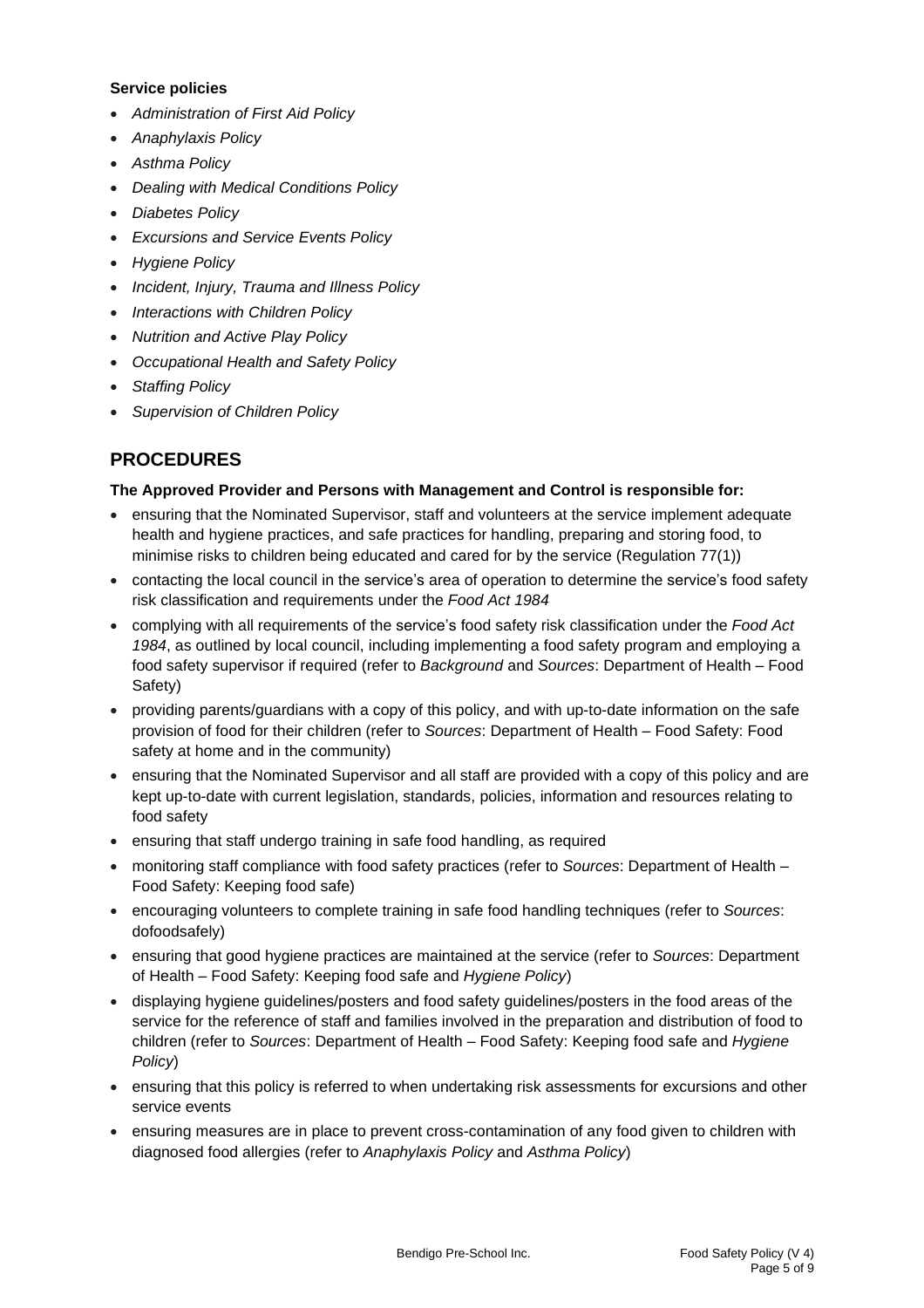### **Service policies**

- *Administration of First Aid Policy*
- *Anaphylaxis Policy*
- *Asthma Policy*
- *Dealing with Medical Conditions Policy*
- *Diabetes Policy*
- *Excursions and Service Events Policy*
- *Hygiene Policy*
- *Incident, Injury, Trauma and Illness Policy*
- *Interactions with Children Policy*
- *Nutrition and Active Play Policy*
- *Occupational Health and Safety Policy*
- *Staffing Policy*
- *Supervision of Children Policy*

# **PROCEDURES**

### **The Approved Provider and Persons with Management and Control is responsible for:**

- ensuring that the Nominated Supervisor, staff and volunteers at the service implement adequate health and hygiene practices, and safe practices for handling, preparing and storing food, to minimise risks to children being educated and cared for by the service (Regulation 77(1))
- contacting the local council in the service's area of operation to determine the service's food safety risk classification and requirements under the *Food Act 1984*
- complying with all requirements of the service's food safety risk classification under the *Food Act 1984*, as outlined by local council, including implementing a food safety program and employing a food safety supervisor if required (refer to *Background* and *Sources*: Department of Health – Food Safety)
- providing parents/guardians with a copy of this policy, and with up-to-date information on the safe provision of food for their children (refer to *Sources*: Department of Health – Food Safety: Food safety at home and in the community)
- ensuring that the Nominated Supervisor and all staff are provided with a copy of this policy and are kept up-to-date with current legislation, standards, policies, information and resources relating to food safety
- ensuring that staff undergo training in safe food handling, as required
- monitoring staff compliance with food safety practices (refer to *Sources*: Department of Health Food Safety: Keeping food safe)
- encouraging volunteers to complete training in safe food handling techniques (refer to *Sources*: dofoodsafely)
- ensuring that good hygiene practices are maintained at the service (refer to *Sources*: Department of Health – Food Safety: Keeping food safe and *Hygiene Policy*)
- displaying hygiene guidelines/posters and food safety guidelines/posters in the food areas of the service for the reference of staff and families involved in the preparation and distribution of food to children (refer to *Sources*: Department of Health – Food Safety: Keeping food safe and *Hygiene Policy*)
- ensuring that this policy is referred to when undertaking risk assessments for excursions and other service events
- ensuring measures are in place to prevent cross-contamination of any food given to children with diagnosed food allergies (refer to *Anaphylaxis Policy* and *Asthma Policy*)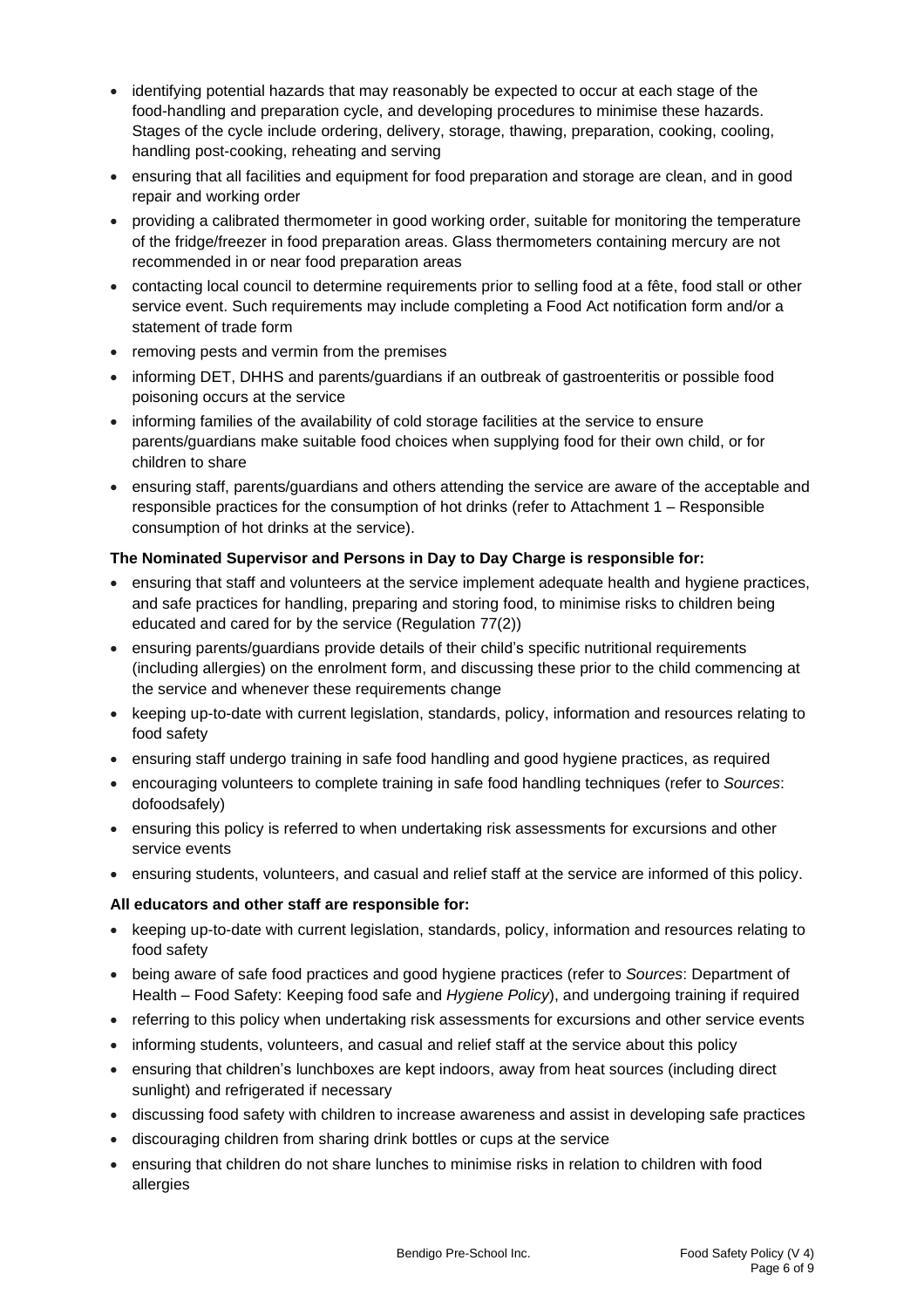- identifying potential hazards that may reasonably be expected to occur at each stage of the food-handling and preparation cycle, and developing procedures to minimise these hazards. Stages of the cycle include ordering, delivery, storage, thawing, preparation, cooking, cooling, handling post-cooking, reheating and serving
- ensuring that all facilities and equipment for food preparation and storage are clean, and in good repair and working order
- providing a calibrated thermometer in good working order, suitable for monitoring the temperature of the fridge/freezer in food preparation areas. Glass thermometers containing mercury are not recommended in or near food preparation areas
- contacting local council to determine requirements prior to selling food at a fête, food stall or other service event. Such requirements may include completing a Food Act notification form and/or a statement of trade form
- removing pests and vermin from the premises
- informing DET, DHHS and parents/guardians if an outbreak of gastroenteritis or possible food poisoning occurs at the service
- informing families of the availability of cold storage facilities at the service to ensure parents/guardians make suitable food choices when supplying food for their own child, or for children to share
- ensuring staff, parents/guardians and others attending the service are aware of the acceptable and responsible practices for the consumption of hot drinks (refer to Attachment 1 – Responsible consumption of hot drinks at the service).

## **The Nominated Supervisor and Persons in Day to Day Charge is responsible for:**

- ensuring that staff and volunteers at the service implement adequate health and hygiene practices, and safe practices for handling, preparing and storing food, to minimise risks to children being educated and cared for by the service (Regulation 77(2))
- ensuring parents/guardians provide details of their child's specific nutritional requirements (including allergies) on the enrolment form, and discussing these prior to the child commencing at the service and whenever these requirements change
- keeping up-to-date with current legislation, standards, policy, information and resources relating to food safety
- ensuring staff undergo training in safe food handling and good hygiene practices, as required
- encouraging volunteers to complete training in safe food handling techniques (refer to *Sources*: dofoodsafely)
- ensuring this policy is referred to when undertaking risk assessments for excursions and other service events
- ensuring students, volunteers, and casual and relief staff at the service are informed of this policy.

## **All educators and other staff are responsible for:**

- keeping up-to-date with current legislation, standards, policy, information and resources relating to food safety
- being aware of safe food practices and good hygiene practices (refer to *Sources*: Department of Health – Food Safety: Keeping food safe and *Hygiene Policy*), and undergoing training if required
- referring to this policy when undertaking risk assessments for excursions and other service events
- informing students, volunteers, and casual and relief staff at the service about this policy
- ensuring that children's lunchboxes are kept indoors, away from heat sources (including direct sunlight) and refrigerated if necessary
- discussing food safety with children to increase awareness and assist in developing safe practices
- discouraging children from sharing drink bottles or cups at the service
- ensuring that children do not share lunches to minimise risks in relation to children with food allergies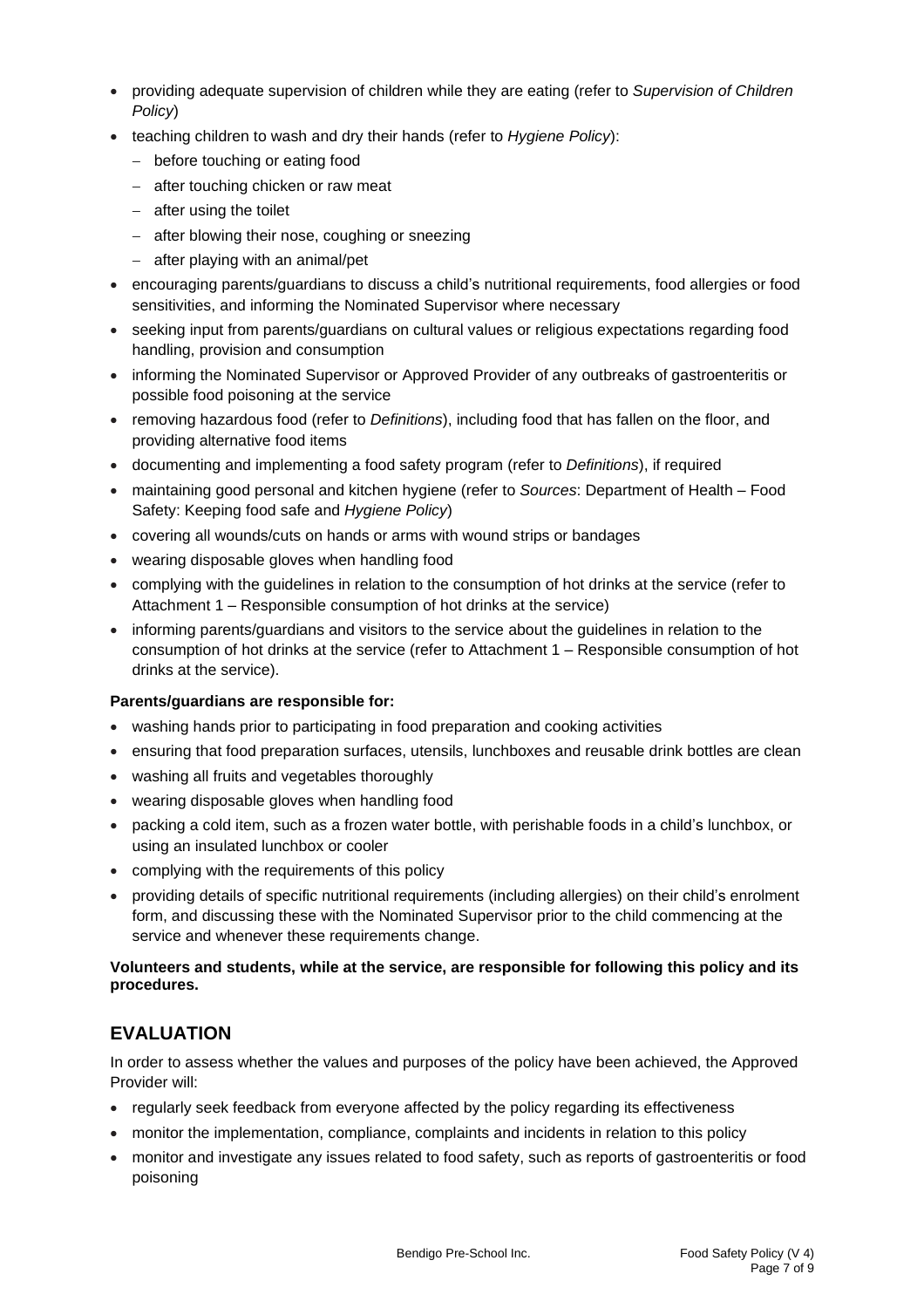- providing adequate supervision of children while they are eating (refer to *Supervision of Children Policy*)
- teaching children to wash and dry their hands (refer to *Hygiene Policy*):
	- − before touching or eating food
	- − after touching chicken or raw meat
	- − after using the toilet
	- − after blowing their nose, coughing or sneezing
	- − after playing with an animal/pet
- encouraging parents/guardians to discuss a child's nutritional requirements, food allergies or food sensitivities, and informing the Nominated Supervisor where necessary
- seeking input from parents/guardians on cultural values or religious expectations regarding food handling, provision and consumption
- informing the Nominated Supervisor or Approved Provider of any outbreaks of gastroenteritis or possible food poisoning at the service
- removing hazardous food (refer to *Definitions*), including food that has fallen on the floor, and providing alternative food items
- documenting and implementing a food safety program (refer to *Definitions*), if required
- maintaining good personal and kitchen hygiene (refer to *Sources*: Department of Health Food Safety: Keeping food safe and *Hygiene Policy*)
- covering all wounds/cuts on hands or arms with wound strips or bandages
- wearing disposable gloves when handling food
- complying with the guidelines in relation to the consumption of hot drinks at the service (refer to Attachment 1 – Responsible consumption of hot drinks at the service)
- informing parents/guardians and visitors to the service about the guidelines in relation to the consumption of hot drinks at the service (refer to Attachment 1 – Responsible consumption of hot drinks at the service).

### **Parents/guardians are responsible for:**

- washing hands prior to participating in food preparation and cooking activities
- ensuring that food preparation surfaces, utensils, lunchboxes and reusable drink bottles are clean
- washing all fruits and vegetables thoroughly
- wearing disposable gloves when handling food
- packing a cold item, such as a frozen water bottle, with perishable foods in a child's lunchbox, or using an insulated lunchbox or cooler
- complying with the requirements of this policy
- providing details of specific nutritional requirements (including allergies) on their child's enrolment form, and discussing these with the Nominated Supervisor prior to the child commencing at the service and whenever these requirements change.

### **Volunteers and students, while at the service, are responsible for following this policy and its procedures.**

# **EVALUATION**

In order to assess whether the values and purposes of the policy have been achieved, the Approved Provider will:

- regularly seek feedback from everyone affected by the policy regarding its effectiveness
- monitor the implementation, compliance, complaints and incidents in relation to this policy
- monitor and investigate any issues related to food safety, such as reports of gastroenteritis or food poisoning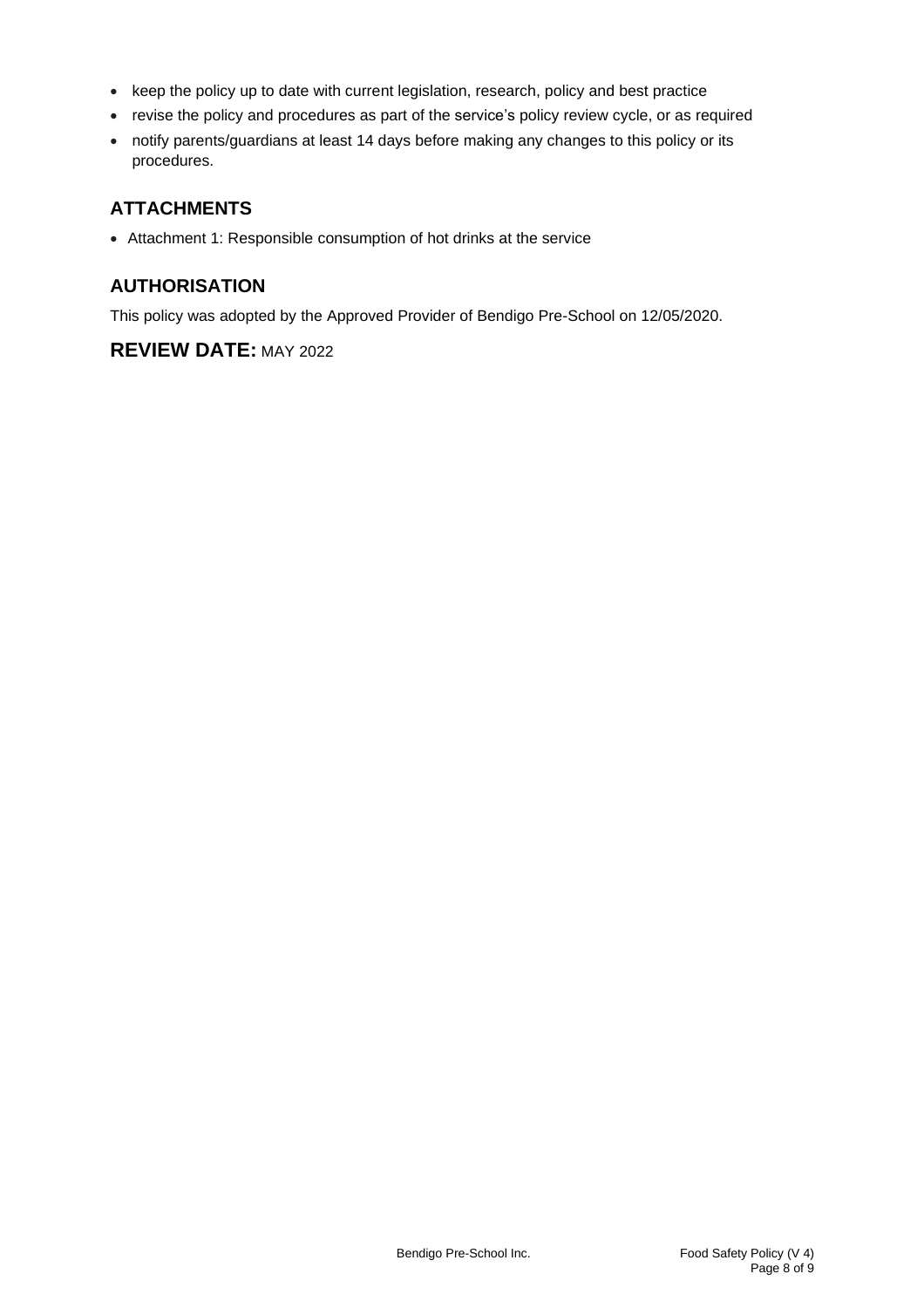- keep the policy up to date with current legislation, research, policy and best practice
- revise the policy and procedures as part of the service's policy review cycle, or as required
- notify parents/guardians at least 14 days before making any changes to this policy or its procedures.

# **ATTACHMENTS**

• Attachment 1: Responsible consumption of hot drinks at the service

# **AUTHORISATION**

This policy was adopted by the Approved Provider of Bendigo Pre-School on 12/05/2020.

# **REVIEW DATE:** MAY 2022